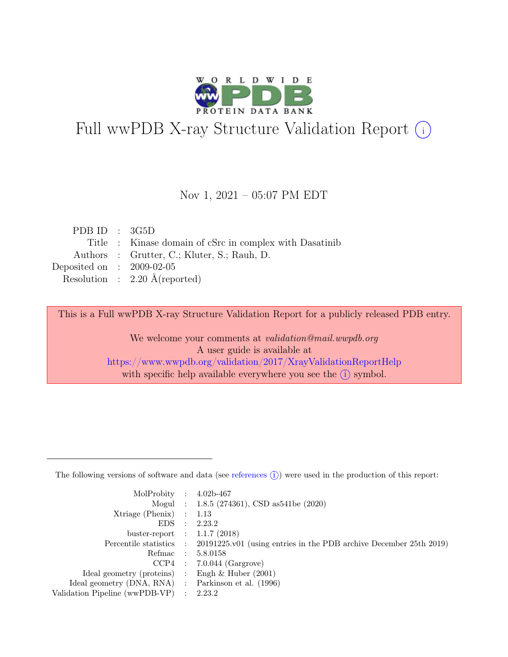

# Full wwPDB X-ray Structure Validation Report  $(i)$

#### Nov 1, 2021 – 05:07 PM EDT

| PDB ID : $3G5D$             |                                                         |
|-----------------------------|---------------------------------------------------------|
|                             | Title : Kinase domain of cSrc in complex with Dasatinib |
|                             | Authors : Grutter, C.; Kluter, S.; Rauh, D.             |
| Deposited on : $2009-02-05$ |                                                         |
|                             | Resolution : $2.20 \text{ Å}$ (reported)                |
|                             |                                                         |

This is a Full wwPDB X-ray Structure Validation Report for a publicly released PDB entry.

We welcome your comments at validation@mail.wwpdb.org A user guide is available at <https://www.wwpdb.org/validation/2017/XrayValidationReportHelp> with specific help available everywhere you see the  $(i)$  symbol.

The following versions of software and data (see [references](https://www.wwpdb.org/validation/2017/XrayValidationReportHelp#references)  $(i)$ ) were used in the production of this report:

| MolProbity : $4.02b-467$                            |                                                                                            |
|-----------------------------------------------------|--------------------------------------------------------------------------------------------|
|                                                     |                                                                                            |
|                                                     | Mogul : 1.8.5 (274361), CSD as 541be (2020)                                                |
| $Xtriangle (Phenix)$ : 1.13                         |                                                                                            |
|                                                     | EDS : 2.23.2                                                                               |
| buster-report : $1.1.7$ (2018)                      |                                                                                            |
|                                                     | Percentile statistics : 20191225.v01 (using entries in the PDB archive December 25th 2019) |
| Refmac : 5.8.0158                                   |                                                                                            |
|                                                     | $CCP4$ : 7.0.044 (Gargrove)                                                                |
| Ideal geometry (proteins) : Engh $\&$ Huber (2001)  |                                                                                            |
| Ideal geometry (DNA, RNA) : Parkinson et al. (1996) |                                                                                            |
| Validation Pipeline (wwPDB-VP) : 2.23.2             |                                                                                            |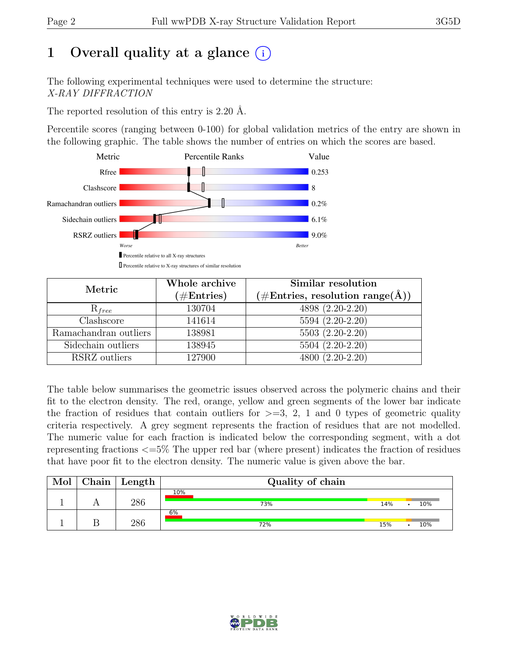# 1 Overall quality at a glance  $(i)$

The following experimental techniques were used to determine the structure: X-RAY DIFFRACTION

The reported resolution of this entry is 2.20 Å.

Percentile scores (ranging between 0-100) for global validation metrics of the entry are shown in the following graphic. The table shows the number of entries on which the scores are based.



| Metric                | Whole archive<br>$(\#\text{Entries})$ | Similar resolution<br>$(\#\text{Entries}, \, \text{resolution range}(\textup{\AA}))$ |
|-----------------------|---------------------------------------|--------------------------------------------------------------------------------------|
| $R_{free}$            | 130704                                | 4898 (2.20-2.20)                                                                     |
| Clashscore            | 141614                                | 5594 (2.20-2.20)                                                                     |
| Ramachandran outliers | 138981                                | 5503 (2.20-2.20)                                                                     |
| Sidechain outliers    | 138945                                | 5504 (2.20-2.20)                                                                     |
| RSRZ outliers         | 127900                                | 4800 (2.20-2.20)                                                                     |

The table below summarises the geometric issues observed across the polymeric chains and their fit to the electron density. The red, orange, yellow and green segments of the lower bar indicate the fraction of residues that contain outliers for  $\geq$ =3, 2, 1 and 0 types of geometric quality criteria respectively. A grey segment represents the fraction of residues that are not modelled. The numeric value for each fraction is indicated below the corresponding segment, with a dot representing fractions <=5% The upper red bar (where present) indicates the fraction of residues that have poor fit to the electron density. The numeric value is given above the bar.

| Mol | $\cap$ hain | Length | Quality of chain |     |     |
|-----|-------------|--------|------------------|-----|-----|
|     |             | 286    | 10%<br>73%       | 14% | 10% |
|     |             | 286    | 6%<br>72%        | 15% | 10% |

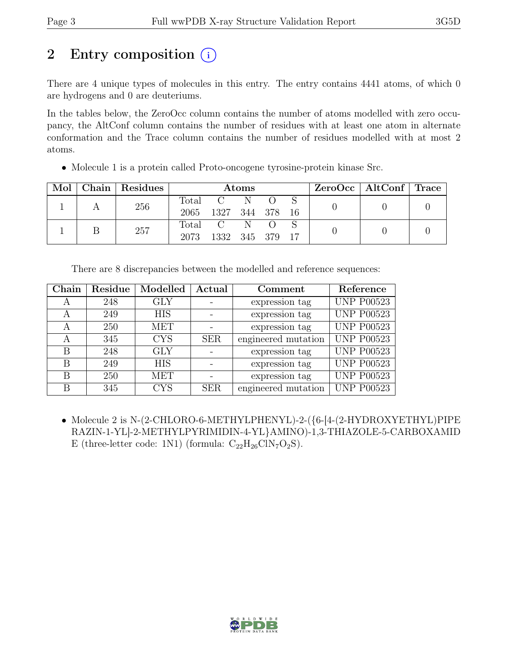# 2 Entry composition (i)

There are 4 unique types of molecules in this entry. The entry contains 4441 atoms, of which 0 are hydrogens and 0 are deuteriums.

In the tables below, the ZeroOcc column contains the number of atoms modelled with zero occupancy, the AltConf column contains the number of residues with at least one atom in alternate conformation and the Trace column contains the number of residues modelled with at most 2 atoms.

| Mol | Chain   Residues | Atoms |                 |   |  |  | ZeroOcc   AltConf   Trace |  |
|-----|------------------|-------|-----------------|---|--|--|---------------------------|--|
|     | 256              | Total | $C \tN$         |   |  |  |                           |  |
|     |                  | 2065  | 1327 344 378 16 |   |  |  |                           |  |
|     | 257              | Total | C               | N |  |  |                           |  |
|     |                  | 2073  | 1332 345 379    |   |  |  |                           |  |

• Molecule 1 is a protein called Proto-oncogene tyrosine-protein kinase Src.

|  |  | There are 8 discrepancies between the modelled and reference sequences: |
|--|--|-------------------------------------------------------------------------|
|  |  |                                                                         |

| Chain | Residue | Modelled   | Actual<br>Comment |                                          | Reference         |
|-------|---------|------------|-------------------|------------------------------------------|-------------------|
| A     | 248     | <b>GLY</b> |                   | expression tag                           | <b>UNP P00523</b> |
| A     | 249     | <b>HIS</b> |                   | expression tag                           | <b>UNP P00523</b> |
| A     | 250     | <b>MET</b> |                   | expression tag                           | <b>UNP P00523</b> |
| A     | 345     | <b>CYS</b> | <b>SER</b>        | <b>UNP P00523</b><br>engineered mutation |                   |
| B     | 248     | <b>GLY</b> |                   | expression tag                           | <b>UNP P00523</b> |
| B     | 249     | <b>HIS</b> |                   | expression tag                           | <b>UNP P00523</b> |
| В     | 250     | <b>MET</b> | expression tag    |                                          | <b>UNP P00523</b> |
| В     | 345     | <b>CYS</b> | <b>SER</b>        | engineered mutation                      | <b>UNP P00523</b> |

• Molecule 2 is N-(2-CHLORO-6-METHYLPHENYL)-2-({6-[4-(2-HYDROXYETHYL)PIPE RAZIN-1-YL]-2-METHYLPYRIMIDIN-4-YL}AMINO)-1,3-THIAZOLE-5-CARBOXAMID E (three-letter code: 1N1) (formula:  $C_{22}H_{26}C1N_7O_2S$ ).

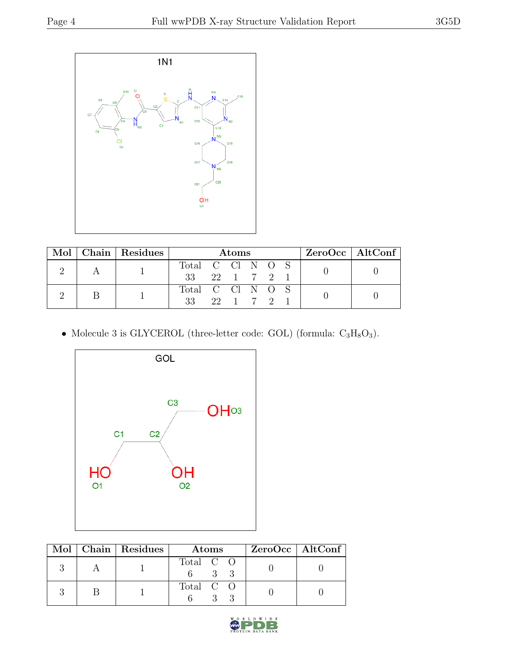

|  |  | Mol   Chain   Residues | <b>Atoms</b>                    |          |  |  |  | $ZeroOcc \   \$ AltConf |  |  |
|--|--|------------------------|---------------------------------|----------|--|--|--|-------------------------|--|--|
|  |  |                        | Total C Cl N $O$ $\overline{S}$ |          |  |  |  |                         |  |  |
|  |  | 33 22 1 7 2            |                                 |          |  |  |  |                         |  |  |
|  |  |                        | Total C Cl N O S                |          |  |  |  |                         |  |  |
|  |  | 33                     |                                 | 22 1 7 2 |  |  |  |                         |  |  |

• Molecule 3 is GLYCEROL (three-letter code: GOL) (formula:  $C_3H_8O_3$ ).



|  | Mol   Chain   Residues | <b>Atoms</b> | $ZeroOcc \   \$ AltConf |
|--|------------------------|--------------|-------------------------|
|  |                        | Total C O    |                         |
|  |                        | Total C O    |                         |

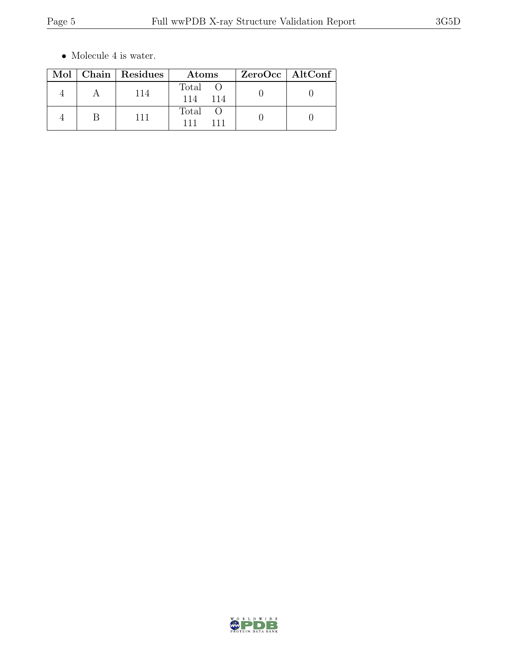$\bullet\,$  Molecule 4 is water.

|  | Mol   Chain   Residues | Atoms               | ZeroOcc   AltConf |
|--|------------------------|---------------------|-------------------|
|  | 114                    | Total<br>114<br>114 |                   |
|  | 111                    | Total<br>111        |                   |

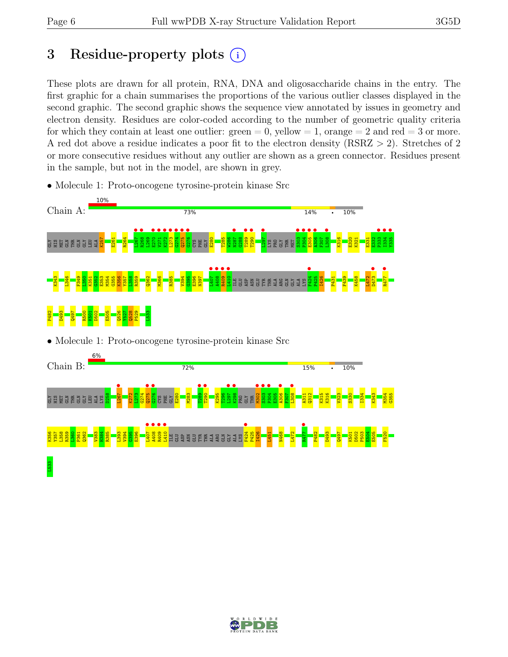# 3 Residue-property plots  $(i)$

These plots are drawn for all protein, RNA, DNA and oligosaccharide chains in the entry. The first graphic for a chain summarises the proportions of the various outlier classes displayed in the second graphic. The second graphic shows the sequence view annotated by issues in geometry and electron density. Residues are color-coded according to the number of geometric quality criteria for which they contain at least one outlier:  $green = 0$ , yellow  $= 1$ , orange  $= 2$  and red  $= 3$  or more. A red dot above a residue indicates a poor fit to the electron density (RSRZ > 2). Stretches of 2 or more consecutive residues without any outlier are shown as a green connector. Residues present in the sample, but not in the model, are shown in grey.



• Molecule 1: Proto-oncogene tyrosine-protein kinase Src

• Molecule 1: Proto-oncogene tyrosine-protein kinase Src



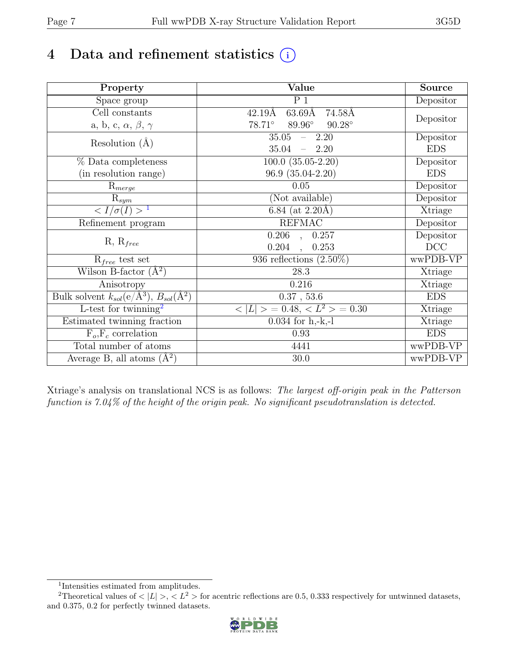# 4 Data and refinement statistics  $(i)$

| Property                                                             | Value                                    | Source     |
|----------------------------------------------------------------------|------------------------------------------|------------|
| Space group                                                          | $P_1$                                    | Depositor  |
| Cell constants                                                       | $63.69\text{\AA}$<br>74.58Å<br>42.19Å    |            |
| a, b, c, $\alpha$ , $\beta$ , $\gamma$                               | 89.96°<br>$90.28^\circ$<br>$78.71^\circ$ | Depositor  |
| Resolution $(A)$                                                     | 35.05<br>$-2.20$                         | Depositor  |
|                                                                      | 35.04<br>$-2.20$                         | <b>EDS</b> |
| % Data completeness                                                  | $100.0$ $(35.05-2.20)$                   | Depositor  |
| (in resolution range)                                                | $96.9(35.04-2.20)$                       | <b>EDS</b> |
| $R_{merge}$                                                          | 0.05                                     | Depositor  |
| $\mathrm{R}_{sym}$                                                   | (Not available)                          | Depositor  |
| $\langle I/\sigma(I) \rangle^{-1}$                                   | 6.84 (at $2.20\text{\AA}$ )              | Xtriage    |
| Refinement program                                                   | <b>REFMAC</b>                            | Depositor  |
|                                                                      | $\overline{0.206}$ ,<br>0.257            | Depositor  |
| $R, R_{free}$                                                        | 0.204<br>0.253                           | DCC        |
| $R_{free}$ test set                                                  | 936 reflections $(2.50\%)$               | wwPDB-VP   |
| Wilson B-factor $(A^2)$                                              | 28.3                                     | Xtriage    |
| Anisotropy                                                           | 0.216                                    | Xtriage    |
| Bulk solvent $k_{sol}(e/\mathring{A}^3)$ , $B_{sol}(\mathring{A}^2)$ | $0.37$ , 53.6                            | <b>EDS</b> |
| L-test for twinning <sup>2</sup>                                     | $< L >$ = 0.48, $< L^2 >$ = 0.30         | Xtriage    |
| Estimated twinning fraction                                          | $0.034$ for h,-k,-l                      | Xtriage    |
| $F_o, F_c$ correlation                                               | 0.93                                     | <b>EDS</b> |
| Total number of atoms                                                | 4441                                     | wwPDB-VP   |
| Average B, all atoms $(A^2)$                                         | 30.0                                     | wwPDB-VP   |

Xtriage's analysis on translational NCS is as follows: The largest off-origin peak in the Patterson function is 7.04% of the height of the origin peak. No significant pseudotranslation is detected.

<sup>&</sup>lt;sup>2</sup>Theoretical values of  $\langle |L| \rangle$ ,  $\langle L^2 \rangle$  for acentric reflections are 0.5, 0.333 respectively for untwinned datasets, and 0.375, 0.2 for perfectly twinned datasets.



<span id="page-6-1"></span><span id="page-6-0"></span><sup>1</sup> Intensities estimated from amplitudes.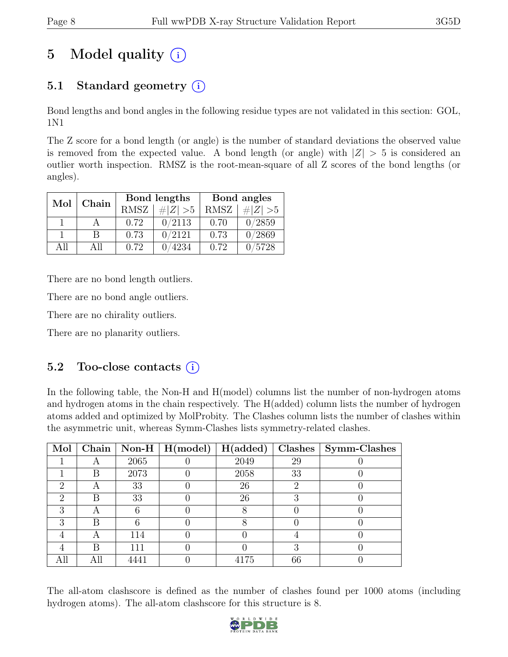# 5 Model quality  $(i)$

# 5.1 Standard geometry  $(i)$

Bond lengths and bond angles in the following residue types are not validated in this section: GOL, 1N1

The Z score for a bond length (or angle) is the number of standard deviations the observed value is removed from the expected value. A bond length (or angle) with  $|Z| > 5$  is considered an outlier worth inspection. RMSZ is the root-mean-square of all Z scores of the bond lengths (or angles).

| Mol  | Chain |             | Bond lengths | Bond angles |             |  |
|------|-------|-------------|--------------|-------------|-------------|--|
|      |       | <b>RMSZ</b> | $\# Z  > 5$  | <b>RMSZ</b> | $\# Z  > 5$ |  |
|      |       | 0.72        | 0/2113       | 0.70        | 0/2859      |  |
|      |       | 0.73        | 0/2121       | 0.73        | 0/2869      |  |
| Δ 11 | A 11  | 0.72        | 4234         | 0.72        | /5728       |  |

There are no bond length outliers.

There are no bond angle outliers.

There are no chirality outliers.

There are no planarity outliers.

### 5.2 Too-close contacts  $(i)$

In the following table, the Non-H and H(model) columns list the number of non-hydrogen atoms and hydrogen atoms in the chain respectively. The H(added) column lists the number of hydrogen atoms added and optimized by MolProbity. The Clashes column lists the number of clashes within the asymmetric unit, whereas Symm-Clashes lists symmetry-related clashes.

| Mol |     |      | Chain   Non-H $\mid$ H(model) $\mid$ H(added) $\mid$ |      |    | Clashes   Symm-Clashes |
|-----|-----|------|------------------------------------------------------|------|----|------------------------|
|     |     | 2065 |                                                      | 2049 | 29 |                        |
|     | В   | 2073 |                                                      | 2058 | 33 |                        |
| റ   | Α   | 33   |                                                      | 26   | "  |                        |
| 2   | R   | 33   |                                                      | 26   |    |                        |
| ച   | А   |      |                                                      |      |    |                        |
| 3   | R   |      |                                                      |      |    |                        |
|     |     | 114  |                                                      |      |    |                        |
|     | R   | 111  |                                                      |      | റ  |                        |
| Аll | All |      |                                                      | 4175 | 66 |                        |

The all-atom clashscore is defined as the number of clashes found per 1000 atoms (including hydrogen atoms). The all-atom clashscore for this structure is 8.

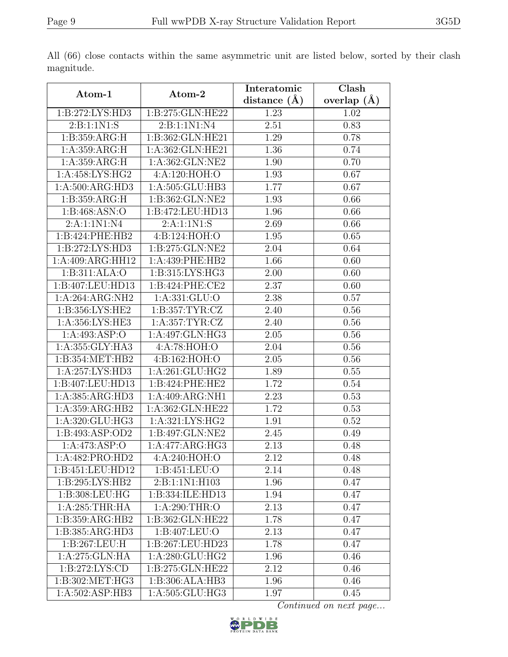|                              |                               | Interatomic    | Clash         |  |
|------------------------------|-------------------------------|----------------|---------------|--|
| Atom-1                       | Atom-2                        | distance $(A)$ | overlap $(A)$ |  |
| 1: B: 272: LYS: HD3          | 1:B:275:GLN:HE22              | 1.23           | 1.02          |  |
| 2:B:1:1N1:S                  | 2:B:1:1N1:N4                  | 2.51           | 0.83          |  |
| 1: B: 359: ARG: H            | 1:B:362:GLN:HE21              | 1.29           | 0.78          |  |
| 1:A:359:ARG:H                | 1:A:362:GLN:HE21              | 1.36           | 0.74          |  |
| 1: A: 359: ARG: H            | 1:A:362:GLN:NE2               | 1.90           | 0.70          |  |
| 1:A:458:LYS:HG2              | 4:A:120:HOH:O                 | 1.93           | 0.67          |  |
| 1:A:500:ARG:HD3              | 1:A:505:GLU:HB3               | 1.77           | 0.67          |  |
| 1:B:359:ARG:H                | 1:B:362:GLN:NE2               | 1.93           | 0.66          |  |
| 1: B:468: ASN:O              | 1:B:472:LEU:HD13              | 1.96           | 0.66          |  |
| 2:A:1:1N1:N4                 | 2: A: 1:1 N1: S               | 2.69           | 0.66          |  |
| 1:B:424:PHE:HB2              | 4:Bi:124:HOH:O                | 1.95           | 0.65          |  |
| 1: B: 272: LYS: HD3          | 1:B:275:GLN:NE2               | 2.04           | 0.64          |  |
| 1:A:409:ARG:HH12             | 1:A:439:PHE:HB2               | 1.66           | 0.60          |  |
| 1:B:311:ALA:O                | 1:B:315:LYS:HG3               | 2.00           | 0.60          |  |
| 1:B:407:LEU:HD13             | 1:B:424:PHE:CE2               | 2.37           | 0.60          |  |
| 1:A:264:ARG:NH2              | 1:A:331:GLU:O                 | 2.38           | 0.57          |  |
| 1: B: 356: LYS: HE2          | 1: B: 357: TYR: CZ            | 2.40           | 0.56          |  |
| 1:A:356:LYS:HE3              | $1: A:357:TYR: \overline{CZ}$ | 2.40           | 0.56          |  |
| 1:A:493:ASP:O                | 1:A:497:GLN:HG3               | 2.05           | 0.56          |  |
| $1:A:355:GLY:H\overline{A3}$ | 4:A:78:HOH:O                  | 2.04           | 0.56          |  |
| 1:B:354:MET:HB2              | 4:B:162:HOH:O                 | 2.05           | 0.56          |  |
| 1:A:257:LYS:HD3              | 1: A:261: GLU:HG2             | 1.89           | 0.55          |  |
| 1:B:407:LEU:HD13             | 1:B:424:PHE:HE2               | 1.72           | 0.54          |  |
| 1:A:385:ARG:HD3              | 1:A:409:ARG:NH1               | 2.23           | 0.53          |  |
| 1:A:359:ARG:HB2              | 1:A:362:GLN:HE22              | 1.72           | 0.53          |  |
| 1:A:320:GLU:HG3              | 1: A:321: LYS: HG2            | 1.91           | 0.52          |  |
| 1:B:493:ASP:OD2              | 1:B:497:GLN:NE2               | 2.45           | 0.49          |  |
| 1: A: 473: ASP: O            | 1:A:477:ARG:HG3               | 2.13           | 0.48          |  |
| 1:A:482:PRO:HD2              | 4:A:240:HOH:O                 | 2.12           | 0.48          |  |
| 1:B:451:LEU:HD12             | 1:B:451:LEU:O                 | 2.14           | 0.48          |  |
| 1:B:295:LYS:HB2              | 2:B:1:1N1:H103                | 1.96           | 0.47          |  |
| 1:B:308:LEU:HG               | 1:B:334:ILE:HD13              | 1.94           | 0.47          |  |
| 1: A:285:THR:HA              | 1: A:290:THR:O                | 2.13           | 0.47          |  |
| 1:B:359:ARG:HB2              | 1:B:362:GLN:HE22              | 1.78           | 0.47          |  |
| 1:B:385:ARG:HD3              | 1:B:407:LEU:O                 | 2.13           | 0.47          |  |
| 1:B:267:LEU:H                | 1:B:267:LEU:HD23              | 1.78           | 0.47          |  |
| 1:A:275:GLN:HA               | 1:A:280:GLU:HG2               | 1.96           | 0.46          |  |
| 1:B:272:LYS:CD               | 1:B:275:GLN:HE22              | 2.12           | 0.46          |  |
| 1:B:302:MET:HG3              | $1:B:306:ALA:H\overline{B3}$  | 1.96           | 0.46          |  |
| 1:A:502:ASP:HB3              | 1:A:505:GLU:HG3               | 1.97           | 0.45          |  |

All (66) close contacts within the same asymmetric unit are listed below, sorted by their clash magnitude.

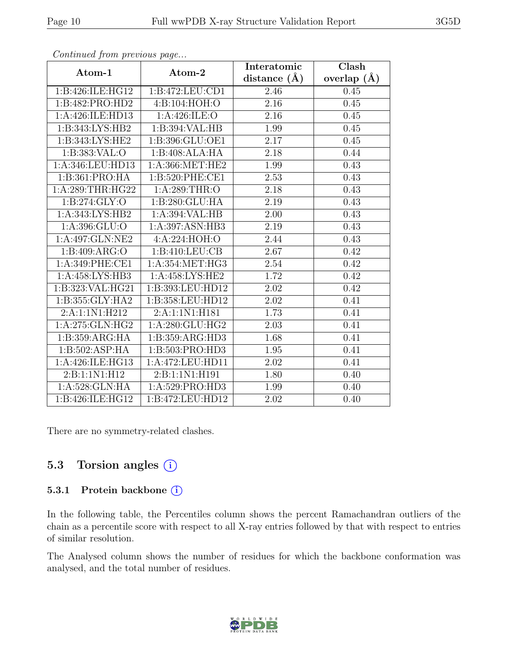| $\cdots$ $J$      | $\mathbf{r} \sim$  | Interatomic      | Clash           |
|-------------------|--------------------|------------------|-----------------|
| Atom-1            | Atom-2             | distance $(\AA)$ | overlap $(\AA)$ |
| 1:B:426:ILE:HG12  | 1:B:472:LEU:CD1    | 2.46             | 0.45            |
| 1:B:482:PRO:HD2   | 4:B:104:HOH:O      | 2.16             | 0.45            |
| 1:A:426:ILE:HD13  | 1: A:426: ILE: O   | 2.16             | 0.45            |
| 1:B:343:LYS:HB2   | 1:B:394:VAL:HB     | 1.99             | 0.45            |
| 1:B:343:LYS:HE2   | 1:B:396:GLU:OE1    | 2.17             | 0.45            |
| 1: B: 383: VAL: O | 1:B:408:ALA:HA     | 2.18             | 0.44            |
| 1:A:346:LEU:HD13  | 1:A:366:MET:HE2    | 1.99             | 0.43            |
| 1:B:361:PRO:HA    | 1:B:520:PHE:CE1    | 2.53             | 0.43            |
| 1:A:289:THR:HG22  | 1: A:289:THR:O     | 2.18             | 0.43            |
| 1: B: 274: GLY: O | 1:B:280:GLU:HA     | 2.19             | 0.43            |
| 1:A:343:LYS:HB2   | 1:A:394:VAL:HB     | 2.00             | 0.43            |
| 1:A:396:GLU:O     | 1:A:397:ASN:HB3    | 2.19             | 0.43            |
| 1:A:497:GLN:NE2   | 4:A:224:HOH:O      | 2.44             | 0.43            |
| 1:B:409:ARG:O     | 1: B: 410: LEU: CB | 2.67             | 0.42            |
| 1:A:349:PHE:CE1   | 1:A:354:MET:HG3    | 2.54             | 0.42            |
| 1:A:458:LYS:HB3   | 1:A:458:LYS:HE2    | 1.72             | 0.42            |
| 1:B:323:VAL:HG21  | 1:B:393:LEU:HD12   | 2.02             | 0.42            |
| 1:B:355:GLY:HA2   | 1:B:358:LEU:HD12   | 2.02             | 0.41            |
| 2:A:1:1N1:H212    | 2:A:1:1N1:H181     | 1.73             | 0.41            |
| 1:A:275:GLN:HG2   | 1: A:280: GLU: HG2 | 2.03             | 0.41            |
| 1:B:359:ARG:HA    | 1:B:359:ARG:HD3    | 1.68             | 0.41            |
| 1:B:502:ASP:HA    | 1:B:503:PRO:HD3    | 1.95             | 0.41            |
| 1:A:426:ILE:HG13  | 1:A:472:LEU:HD11   | 2.02             | 0.41            |
| 2:B:1:1N1:H12     | 2:B:1:1N1:H191     | 1.80             | 0.40            |
| 1: A:528: GLN: HA | 1:A:529:PRO:HD3    | 1.99             | 0.40            |
| 1:B:426:ILE:HG12  | 1:B:472:LEU:HD12   | 2.02             | 0.40            |

There are no symmetry-related clashes.

### 5.3 Torsion angles (i)

#### 5.3.1 Protein backbone (i)

In the following table, the Percentiles column shows the percent Ramachandran outliers of the chain as a percentile score with respect to all X-ray entries followed by that with respect to entries of similar resolution.

The Analysed column shows the number of residues for which the backbone conformation was analysed, and the total number of residues.

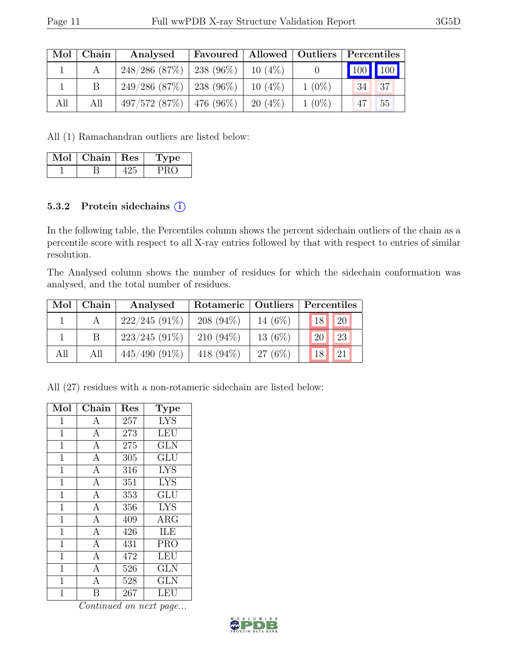| Mol | Chain | Analysed                      | Favoured   Allowed   Outliers   Percentiles |           |          |           |
|-----|-------|-------------------------------|---------------------------------------------|-----------|----------|-----------|
|     |       | $248/286$ (87\%)   238 (96\%) |                                             | $10(4\%)$ |          | 100   100 |
|     |       | $249/286$ (87\%)   238 (96\%) |                                             | $10(4\%)$ | $1(0\%)$ | 37<br>-34 |
| All | All   | $497/572$ (87\%)   476 (96\%) |                                             | $20(4\%)$ | $1(0\%)$ | 55        |

All (1) Ramachandran outliers are listed below:

| $Mol$   Chain   Res | Type |
|---------------------|------|
| D                   | PRC  |

### 5.3.2 Protein sidechains (i)

In the following table, the Percentiles column shows the percent sidechain outliers of the chain as a percentile score with respect to all X-ray entries followed by that with respect to entries of similar resolution.

The Analysed column shows the number of residues for which the sidechain conformation was analysed, and the total number of residues.

| Mol | Chain | Analysed        | Rotameric   Outliers |            | Percentiles |               |  |
|-----|-------|-----------------|----------------------|------------|-------------|---------------|--|
|     |       | $222/245(91\%)$ | $208(94\%)$          | 14 $(6%)$  | 18          | <sup>20</sup> |  |
|     |       | $223/245(91\%)$ | $210(94\%)$          | 13 $(6\%)$ | 20          | 23            |  |
| All | All   | $445/490(91\%)$ | 418 $(94\%)$         | $27(6\%)$  | 18          | 21            |  |

All (27) residues with a non-rotameric sidechain are listed below:

| Mol            | Chain            | Res | Type                                       |
|----------------|------------------|-----|--------------------------------------------|
| 1              | A                | 257 | <b>LYS</b>                                 |
| $\mathbf{1}$   | $\boldsymbol{A}$ | 273 | <b>LEU</b>                                 |
| $\mathbf{1}$   | $\mathbf{A}$     | 275 | <b>GLN</b>                                 |
| $\mathbf{1}$   | $\mathbf{A}$     | 305 | $\operatorname{GL} \bar{\operatorname{U}}$ |
| $\mathbf{1}$   | $\boldsymbol{A}$ | 316 | <b>LYS</b>                                 |
| $\mathbf{1}$   | $\overline{A}$   | 351 | <b>LYS</b>                                 |
| $\mathbf 1$    | $\mathbf{A}$     | 353 | GLU                                        |
| $\mathbf{1}$   | $\mathbf{A}$     | 356 | <b>LYS</b>                                 |
| $\mathbf{1}$   | $\overline{A}$   | 409 | <b>ARG</b>                                 |
| $\mathbf{1}$   | $\mathbf{A}$     | 426 | ILE                                        |
| $\mathbf 1$    | $\mathbf{A}$     | 431 | <b>PRO</b>                                 |
| $\mathbf{1}$   | $\overline{A}$   | 472 | <b>LEU</b>                                 |
| 1              | $\overline{A}$   | 526 | <b>GLN</b>                                 |
| $\mathbf{1}$   | $\mathbf{A}$     | 528 | GLN                                        |
| $\overline{1}$ | B                | 267 | LEU                                        |

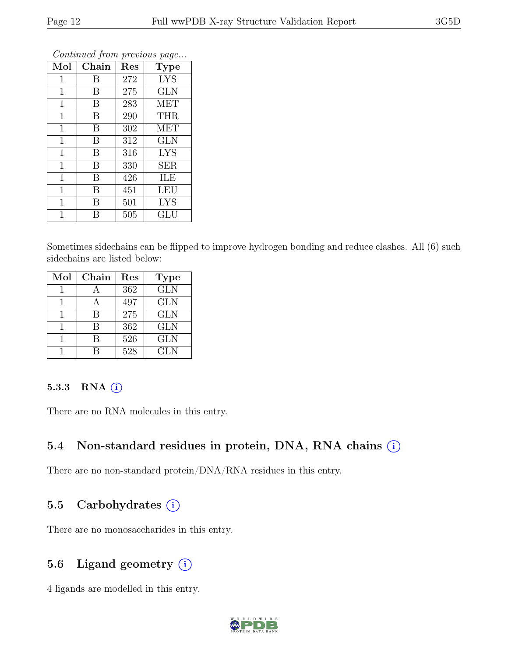| Mol          | Chain | Res | <b>Type</b> |
|--------------|-------|-----|-------------|
| 1            | В     | 272 | <b>LYS</b>  |
| 1            | В     | 275 | <b>GLN</b>  |
| 1            | В     | 283 | <b>MET</b>  |
| $\mathbf 1$  | B     | 290 | <b>THR</b>  |
| $\mathbf 1$  | B     | 302 | <b>MET</b>  |
| 1            | B     | 312 | <b>GLN</b>  |
| $\mathbf 1$  | B     | 316 | <b>LYS</b>  |
| $\mathbf{1}$ | B     | 330 | <b>SER</b>  |
| $\mathbf{1}$ | B     | 426 | ILE         |
| $\mathbf 1$  | B     | 451 | <b>LEU</b>  |
| 1            | B     | 501 | <b>LYS</b>  |
| 1            | В     | 505 | GLU         |

Sometimes sidechains can be flipped to improve hydrogen bonding and reduce clashes. All (6) such sidechains are listed below:

| Mol | Chain | Res | <b>Type</b> |
|-----|-------|-----|-------------|
|     |       | 362 | <b>GLN</b>  |
|     |       | 497 | <b>GLN</b>  |
|     | R     | 275 | <b>GLN</b>  |
|     | В     | 362 | <b>GLN</b>  |
|     | R     | 526 | <b>GLN</b>  |
|     |       | 528 | <b>GLN</b>  |

#### 5.3.3 RNA  $(i)$

There are no RNA molecules in this entry.

### 5.4 Non-standard residues in protein, DNA, RNA chains  $(i)$

There are no non-standard protein/DNA/RNA residues in this entry.

### 5.5 Carbohydrates (i)

There are no monosaccharides in this entry.

### 5.6 Ligand geometry  $(i)$

4 ligands are modelled in this entry.

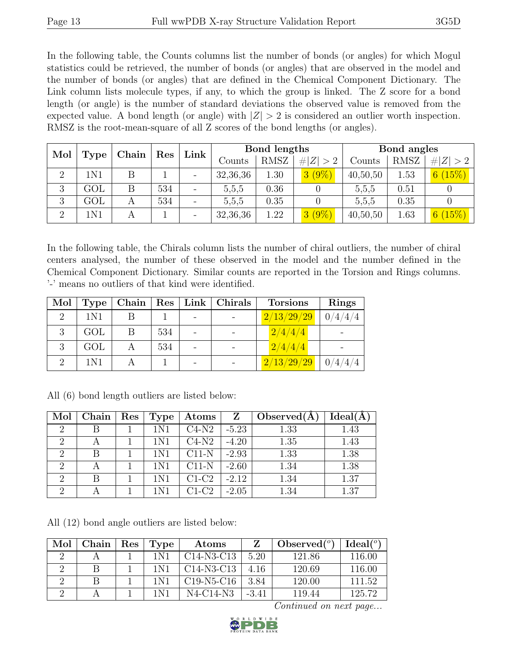In the following table, the Counts columns list the number of bonds (or angles) for which Mogul statistics could be retrieved, the number of bonds (or angles) that are observed in the model and the number of bonds (or angles) that are defined in the Chemical Component Dictionary. The Link column lists molecule types, if any, to which the group is linked. The Z score for a bond length (or angle) is the number of standard deviations the observed value is removed from the expected value. A bond length (or angle) with  $|Z| > 2$  is considered an outlier worth inspection. RMSZ is the root-mean-square of all Z scores of the bond lengths (or angles).

| Mol            | Res<br>Chain |  |     | Link | Bond lengths |             |             | Bond angles |             |             |
|----------------|--------------|--|-----|------|--------------|-------------|-------------|-------------|-------------|-------------|
|                | <b>Type</b>  |  |     |      | Counts       | <b>RMSZ</b> | # $ Z  > 2$ | Counts      | <b>RMSZ</b> | # $ Z  > 2$ |
| $\overline{2}$ | 1N1          |  |     |      | 32,36,36     | 1.30        | $3(9\%)$    | 40,50,50    | 1.53        | 6(15%)      |
| 3              | GOL          |  | 534 |      | 5.5.5        | 0.36        |             | 5.5.5       | 0.51        |             |
| 3              | GOL          |  | 534 |      | 5,5,5        | 0.35        |             | 5.5.5       | 0.35        |             |
| $\Omega$       | 1N1          |  |     |      | 32,36,36     | 1.22        | $3(9\%)$    | 40,50,50    | 1.63        | 6 $(15\%)$  |

In the following table, the Chirals column lists the number of chiral outliers, the number of chiral centers analysed, the number of these observed in the model and the number defined in the Chemical Component Dictionary. Similar counts are reported in the Torsion and Rings columns. '-' means no outliers of that kind were identified.

| Mol | Type  | Chain | $\mid$ Res $\mid$ | Link   Chirals | <b>Torsions</b>                                 | <b>Rings</b> |
|-----|-------|-------|-------------------|----------------|-------------------------------------------------|--------------|
|     | 1N1   |       |                   |                | $\left\lfloor \frac{2}{13/29/29} \right\rfloor$ | 0/4/4/4      |
|     | GOL   |       | 534               |                | $\left\lfloor \frac{2}{4}/4 \right\rfloor$      |              |
|     | GOL   |       | 534               |                | 2/4/4/4                                         |              |
|     | 1 N 1 |       |                   |                | 2/13/29/29                                      | 0/4/4/4      |

| Mol                         | Chain | $\operatorname{Res}$ | Type <sup>†</sup> | Atoms   | $\mathbf{Z}$ | Observed $(A)$ | Ideal(A) |
|-----------------------------|-------|----------------------|-------------------|---------|--------------|----------------|----------|
| $\mathcal{D}_{\mathcal{L}}$ |       |                      | 1N1               | $C4-N2$ | $-5.23$      | 1.33           | 1.43     |
| 2                           |       |                      | 1N1               | $C4-N2$ | $-4.20$      | 1.35           | 1.43     |
| $\mathcal{D}_{\mathcal{L}}$ | B     |                      | 1N1               | $C11-N$ | $-2.93$      | 1.33           | 1.38     |
|                             |       |                      | 1N1               | $C11-N$ | $-2.60$      | 1.34           | 1.38     |
| $\mathcal{D}$               |       |                      | 1N1               | $C1-C2$ | $-2.12$      | 1.34           | 1.37     |
| റ                           |       |                      |                   | $C1-C2$ | $-2.05$      | 1.34           | 1.37     |

All (6) bond length outliers are listed below:

All (12) bond angle outliers are listed below:

| Mol | Chain | Res | Type  | Atoms        |         | Observed $(°)$ | Ideal <sup>(o)</sup> |
|-----|-------|-----|-------|--------------|---------|----------------|----------------------|
|     |       |     | 1 N 1 | $C14-N3-C13$ | 5.20    | 121.86         | 116.00               |
|     |       |     | 1 N 1 | $C14-N3-C13$ | 4.16    | 120.69         | 116.00               |
|     |       |     | 1 N 1 | $C19-N5-C16$ | 3.84    | 120.00         | 111.52               |
|     |       |     | 1 N 1 | N4-C14-N3    | $-3.41$ | 119.44         | 125.72               |

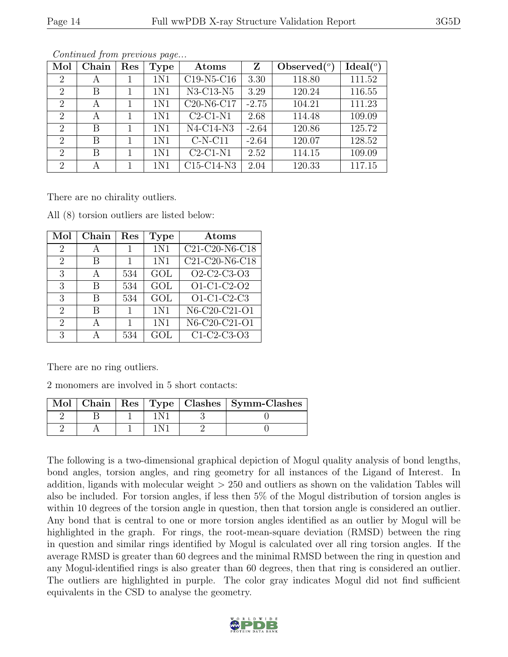| Mol                         | Chain | Res | <b>Type</b>     | Atoms                                            | Z       | Observed $(°)$ | Ideal $(°)$ |
|-----------------------------|-------|-----|-----------------|--------------------------------------------------|---------|----------------|-------------|
| $\overline{2}$              | А     |     | 1N1             | $C19-N5-C16$                                     | 3.30    | 118.80         | 111.52      |
| 2                           | В     |     | 1N1             | N3-C13-N5                                        | 3.29    | 120.24         | 116.55      |
| $\mathcal{D}_{\mathcal{L}}$ | A     |     | 1N1             | C <sub>20</sub> -N <sub>6</sub> -C <sub>17</sub> | $-2.75$ | 104.21         | 111.23      |
| $\mathcal{D}$               | А     | 1   | 1 <sub>N1</sub> | $C2-C1-N1$                                       | 2.68    | 114.48         | 109.09      |
| $\mathcal{D}_{\mathcal{L}}$ | В     | 1   | 1N1             | $N4-C14-N3$                                      | $-2.64$ | 120.86         | 125.72      |
| $\overline{2}$              | В     | 1   | 1N1             | $C-N-C11$                                        | $-2.64$ | 120.07         | 128.52      |
| $\overline{2}$              | В     |     | 1N1             | $C2-C1-N1$                                       | 2.52    | 114.15         | 109.09      |
| $\overline{2}$              | А     |     | 1N1             | C15-C14-N3                                       | 2.04    | 120.33         | 117.15      |

There are no chirality outliers.

| Mol                         | Chain        | Res | <b>Type</b> | $\rm{Atoms}$                                           |
|-----------------------------|--------------|-----|-------------|--------------------------------------------------------|
| 2                           | А            |     | 1N1         | $\overline{\text{C2}}$ 1-C20-N6-C18                    |
| 2                           | В            | 1.  | 1N1         | C21-C20-N6-C18                                         |
| 3                           | $\mathsf{A}$ | 534 | GOL         | O2-C2-C3-O3                                            |
| 3                           | В            | 534 | GOL         | $\overline{O1-C1-C2-O2}$                               |
| 3                           | В            | 534 | GOL         | $O1-C1-C2-C3$                                          |
| $\mathcal{D}_{\mathcal{L}}$ | R            | 1.  | 1N1         | $\overline{\text{N}6\text{-}C20\text{-}C21\text{-}O1}$ |
| $\overline{2}$              |              | 1   | 1N1         | N6-C20-C21-O1                                          |
| 3                           |              | 534 | GOL         | C1-C2-C3-O3                                            |

All (8) torsion outliers are listed below:

There are no ring outliers.

2 monomers are involved in 5 short contacts:

|  |  |  | Mol   Chain   Res   Type   Clashes   Symm-Clashes |
|--|--|--|---------------------------------------------------|
|  |  |  |                                                   |
|  |  |  |                                                   |

The following is a two-dimensional graphical depiction of Mogul quality analysis of bond lengths, bond angles, torsion angles, and ring geometry for all instances of the Ligand of Interest. In addition, ligands with molecular weight > 250 and outliers as shown on the validation Tables will also be included. For torsion angles, if less then 5% of the Mogul distribution of torsion angles is within 10 degrees of the torsion angle in question, then that torsion angle is considered an outlier. Any bond that is central to one or more torsion angles identified as an outlier by Mogul will be highlighted in the graph. For rings, the root-mean-square deviation (RMSD) between the ring in question and similar rings identified by Mogul is calculated over all ring torsion angles. If the average RMSD is greater than 60 degrees and the minimal RMSD between the ring in question and any Mogul-identified rings is also greater than 60 degrees, then that ring is considered an outlier. The outliers are highlighted in purple. The color gray indicates Mogul did not find sufficient equivalents in the CSD to analyse the geometry.

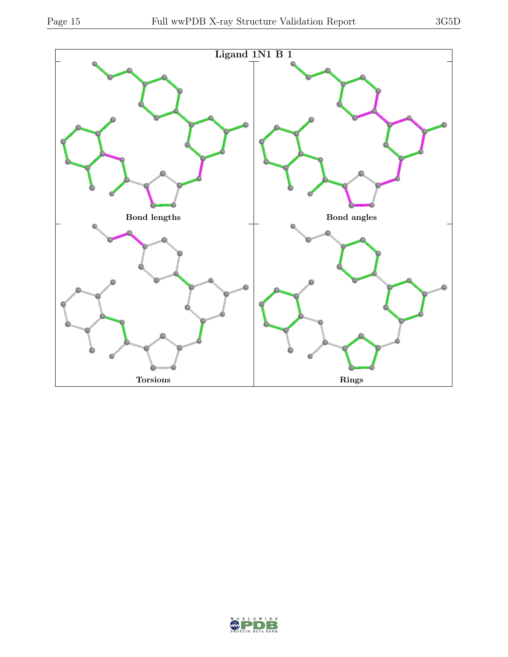

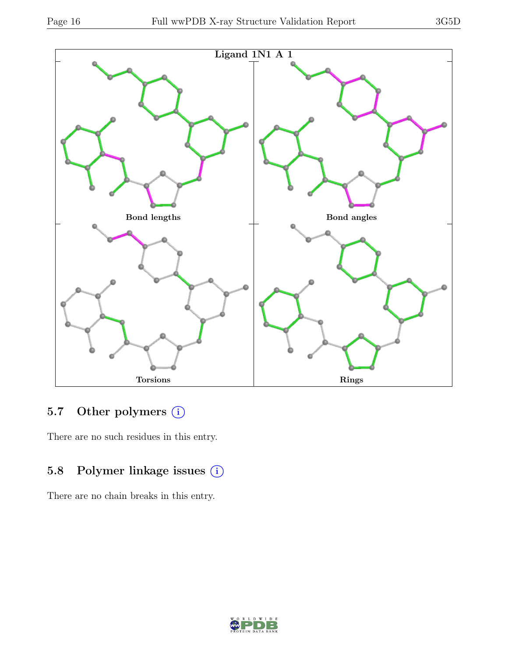

# 5.7 Other polymers (i)

There are no such residues in this entry.

# 5.8 Polymer linkage issues (i)

There are no chain breaks in this entry.

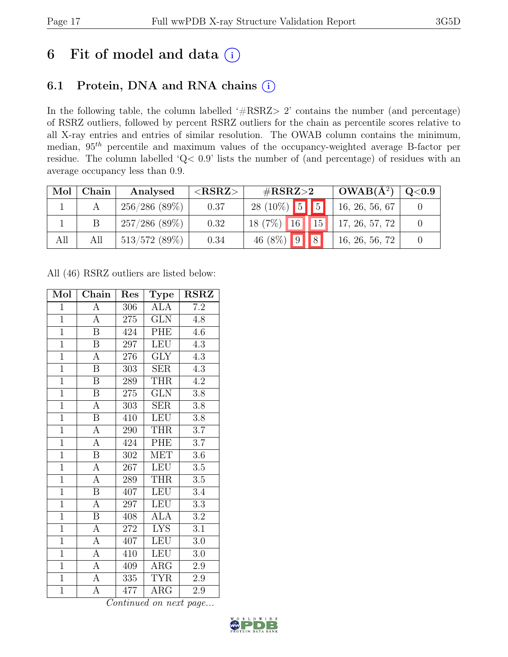# 6 Fit of model and data  $(i)$

# 6.1 Protein, DNA and RNA chains (i)

In the following table, the column labelled ' $\#\text{RSRZ}>2$ ' contains the number (and percentage) of RSRZ outliers, followed by percent RSRZ outliers for the chain as percentile scores relative to all X-ray entries and entries of similar resolution. The OWAB column contains the minimum, median,  $95<sup>th</sup>$  percentile and maximum values of the occupancy-weighted average B-factor per residue. The column labelled 'Q< 0.9' lists the number of (and percentage) of residues with an average occupancy less than 0.9.

| Mol | Chain | Analysed         | ${ <\hspace{-1.5pt} {\rm RSRZ}\hspace{-1.5pt}>}$ | # $RSRZ>2$                                                   | $\mid$ OWAB( $A^2$ ) | $\mid$ Q<0.9 $\mid$ |
|-----|-------|------------------|--------------------------------------------------|--------------------------------------------------------------|----------------------|---------------------|
|     |       | 256/286(89%)     | 0.37                                             | $28(10\%)$ 5 5                                               | 16, 26, 56, 67       |                     |
|     |       | $257/286$ (89\%) | 0.32                                             | $18(7\%)$ $\boxed{16}$ $\boxed{15}$ $\boxed{17, 26, 57, 72}$ |                      |                     |
| All | All   | $513/572$ (89%)  | 0.34                                             | 46 (8%) $9 \ 8$                                              | 16, 26, 56, 72       |                     |

All (46) RSRZ outliers are listed below:

| Mol            | Chain                   | Res     | <b>Type</b>             | <b>RSRZ</b>      |
|----------------|-------------------------|---------|-------------------------|------------------|
| $\mathbf{1}$   | А                       | 306     | ALA                     | $7.2\,$          |
| $\mathbf{1}$   | $\boldsymbol{A}$        | 275     | <b>GLN</b>              | 4.8              |
| $\overline{1}$ | B                       | 424     | PHE                     | 4.6              |
| $\mathbf{1}$   | B                       | 297     | <b>LEU</b>              | 4.3              |
| $\overline{1}$ | $\overline{\rm A}$      | 276     | $\overline{\text{GLY}}$ | 4.3              |
| $\overline{1}$ | $\boldsymbol{B}$        | 303     | <b>SER</b>              | 4.3              |
| $\overline{1}$ | $\boldsymbol{B}$        | 289     | <b>THR</b>              | 4.2              |
| $\overline{1}$ | $\boldsymbol{B}$        | $275\,$ | <b>GLN</b>              | 3.8              |
| $\overline{1}$ | $\overline{A}$          | 303     | <b>SER</b>              | 3.8              |
| $\overline{1}$ | $\overline{\mathrm{B}}$ | 410     | LEU                     | $\overline{3.8}$ |
| $\overline{1}$ | $\boldsymbol{A}$        | 290     | <b>THR</b>              | 3.7              |
| $\overline{1}$ | $\overline{A}$          | 424     | PHE                     | $\overline{3.7}$ |
| $\overline{1}$ | $\overline{B}$          | 302     | <b>MET</b>              | 3.6              |
| $\overline{1}$ | $\overline{A}$          | 267     | <b>LEU</b>              | $3.5\,$          |
| $\overline{1}$ | $\overline{A}$          | 289     | <b>THR</b>              | $\overline{3.5}$ |
| $\mathbf{1}$   | $\, {\bf B}$            | 407     | <b>LEU</b>              | 3.4              |
| $\overline{1}$ | $\overline{\rm A}$      | 297     | <b>LEU</b>              | $\overline{3.3}$ |
| $\overline{1}$ | $\boldsymbol{B}$        | 408     | <b>ALA</b>              | 3.2              |
| $\overline{1}$ | $\boldsymbol{A}$        | 272     | $\overline{LYS}$        | 3.1              |
| $\mathbf{1}$   | А                       | 407     | LEU                     | $3.0\,$          |
| $\overline{1}$ | $\mathbf{A}$            | 410     | <b>LEU</b>              | 3.0              |
| $\overline{1}$ | А                       | 409     | $\overline{\text{ARG}}$ | 2.9              |
| $\overline{1}$ | $\boldsymbol{A}$        | 335     | <b>TYR</b>              | 2.9              |
| $\overline{1}$ | А                       | 477     | $\rm{ARG}$              | 2.9              |

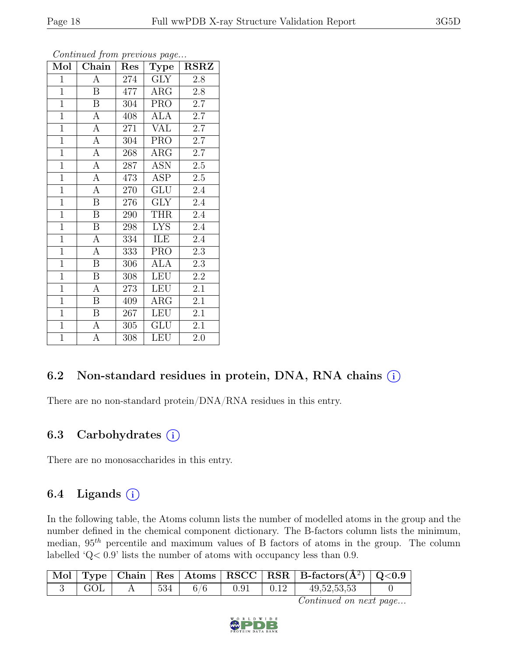| Mol            | Chain                   | Res | <b>Type</b>             | <b>RSRZ</b>      |
|----------------|-------------------------|-----|-------------------------|------------------|
| $\mathbf{1}$   | $\overline{A}$          | 274 | <b>GLY</b>              | 2.8              |
| $\mathbf{1}$   | Β                       | 477 | $\rm{ARG}$              | 2.8              |
| $\overline{1}$ | $\boldsymbol{B}$        | 304 | <b>PRO</b>              | 2.7              |
| $\mathbf{1}$   | $\boldsymbol{A}$        | 408 | <b>ALA</b>              | 2.7              |
| $\overline{1}$ | $\overline{A}$          | 271 | $\overline{\text{VAL}}$ | $2.\overline{7}$ |
| $\overline{1}$ | $\overline{A}$          | 304 | <b>PRO</b>              | 2.7              |
| $\overline{1}$ | $\overline{A}$          | 268 | $\rm{ARG}$              | 2.7              |
| $\overline{1}$ | $\overline{A}$          | 287 | <b>ASN</b>              | 2.5              |
| $\overline{1}$ | $\overline{A}$          | 473 | <b>ASP</b>              | 2.5              |
| $\overline{1}$ | $\overline{A}$          | 270 | GLU                     | 2.4              |
| $\overline{1}$ | $\mathbf B$             | 276 | <b>GLY</b>              | 2.4              |
| $\overline{1}$ | B                       | 290 | THR                     | 2.4              |
| $\overline{1}$ | $\overline{B}$          | 298 | <b>LYS</b>              | 2.4              |
| $\overline{1}$ | $\boldsymbol{A}$        | 334 | ILE                     | 2.4              |
| $\overline{1}$ | $\overline{A}$          | 333 | <b>PRO</b>              | 2.3              |
| $\overline{1}$ | $\, {\bf B}$            | 306 | <b>ALA</b>              | 2.3              |
| $\overline{1}$ | $\overline{\mathrm{B}}$ | 308 | <b>LEU</b>              | $\overline{2.2}$ |
| $\overline{1}$ | A                       | 273 | <b>LEU</b>              | 2.1              |
| $\mathbf{1}$   | $\mathbf B$             | 409 | $\rm{ARG}$              | 2.1              |
| $\overline{1}$ | $\mathbf{B}$            | 267 | LEU                     | 2.1              |
| $\overline{1}$ | $\boldsymbol{A}$        | 305 | GLU                     | 2.1              |
| $\overline{1}$ | $\overline{A}$          | 308 | LEU                     | 2.0              |

# 6.2 Non-standard residues in protein, DNA, RNA chains  $(i)$

There are no non-standard protein/DNA/RNA residues in this entry.

### 6.3 Carbohydrates  $(i)$

There are no monosaccharides in this entry.

### 6.4 Ligands  $(i)$

In the following table, the Atoms column lists the number of modelled atoms in the group and the number defined in the chemical component dictionary. The B-factors column lists the minimum, median,  $95<sup>th</sup>$  percentile and maximum values of B factors of atoms in the group. The column labelled 'Q< 0.9' lists the number of atoms with occupancy less than 0.9.

|  |     |      |      | $\vert$ Mol $\vert$ Type $\vert$ Chain $\vert$ Res $\vert$ Atoms $\vert$ RSCC $\vert$ RSR $\vert$ B-factors(A <sup>2</sup> ) $\vert$ Q<0.9 |  |
|--|-----|------|------|--------------------------------------------------------------------------------------------------------------------------------------------|--|
|  | 534 | 0.91 | 0.12 | 49, 52, 53, 53                                                                                                                             |  |

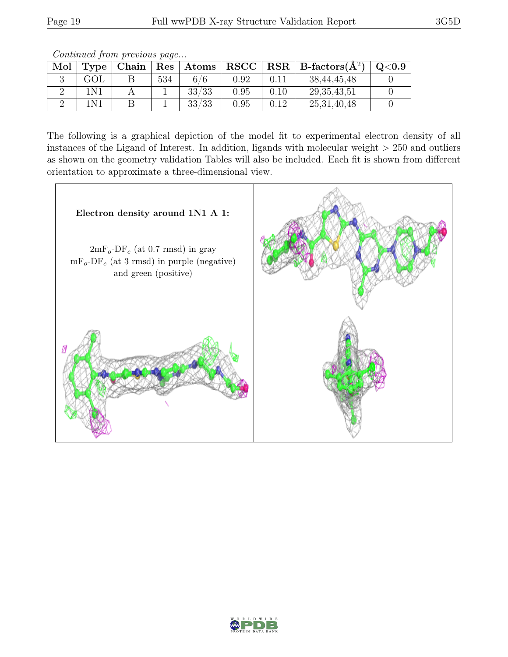Continued from previous page...

| Mol | Type  | Chain |     | $\mid$ Res $\mid$ Atoms | ${\bf RSCC}$ |      | $RSR \mid$ B-factors $(A^2)$ | Q <sub>0.9</sub> |
|-----|-------|-------|-----|-------------------------|--------------|------|------------------------------|------------------|
|     | GOL   |       | 534 | 6/6                     | $\rm 0.92$   | 0.11 | 38, 44, 45, 48               |                  |
|     | 1 N 1 |       |     | 33/33                   | 0.95         | 0.10 | 29, 35, 43, 51               |                  |
|     | 1 N 1 |       |     | 33/33                   | 0.95         | 0.12 | 25, 31, 40, 48               |                  |

The following is a graphical depiction of the model fit to experimental electron density of all instances of the Ligand of Interest. In addition, ligands with molecular weight  $> 250$  and outliers as shown on the geometry validation Tables will also be included. Each fit is shown from different orientation to approximate a three-dimensional view.